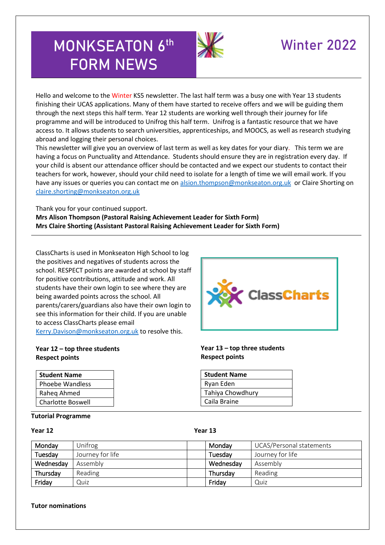# **MONKSEATON 6 th FORM NEWS**



# Winter 2022

Hello and welcome to the Winter KS5 newsletter. The last half term was a busy one with Year 13 students finishing their UCAS applications. Many of them have started to receive offers and we will be guiding them through the next steps this half term. Year 12 students are working well through their journey for life programme and will be introduced to Unifrog this half term. Unifrog is a fantastic resource that we have access to. It allows students to search universities, apprenticeships, and MOOCS, as well as research studying abroad and logging their personal choices.

This newsletter will give you an overview of last term as well as key dates for your diary. This term we are having a focus on Punctuality and Attendance. Students should ensure they are in registration every day. If your child is absent our attendance officer should be contacted and we expect our students to contact their teachers for work, however, should your child need to isolate for a length of time we will email work. If you have any issues or queries you can contact me on [alsion.thompson@monkseaton.org.uk](mailto:alsion.thompson@monkseaton.org.uk) or Claire Shorting on [claire.shorting@monkseaton.org.uk](mailto:claire.shorting@monkseaton.org.uk)

Thank you for your continued support.

**Mrs Alison Thompson (Pastoral Raising Achievement Leader for Sixth Form) Mrs Claire Shorting (Assistant Pastoral Raising Achievement Leader for Sixth Form)**

ClassCharts is used in Monkseaton High School to log the positives and negatives of students across the school. RESPECT points are awarded at school by staff for positive contributions, attitude and work. All students have their own login to see where they are being awarded points across the school. All parents/carers/guardians also have their own login to see this information for their child. If you are unable to access ClassCharts please email [Kerry.Davison@monkseaton.org.uk](mailto:Kerry.Davison@monkseaton.org.uk) to resolve this.

# **ClassCharts**

## **Year 12 – top three students Respect points**

| <b>Student Name</b>    |
|------------------------|
| <b>Phoebe Wandless</b> |
| Raheg Ahmed            |
| Charlotte Boswell      |

## **Tutorial Programme**

# **Respect points**

**Year 13 – top three students**

| <b>Student Name</b> |
|---------------------|
| Ryan Eden           |
| Tahiya Chowdhury    |
| Caila Braine        |
|                     |

# **Year 12 Year 13**

| Monday    | Unifrog          | Mondav    | UCAS/Personal statements |
|-----------|------------------|-----------|--------------------------|
| Tuesday   | Journey for life | Tuesday   | Journey for life         |
| Wednesday | Assembly         | Wednesday | Assembly                 |
| Thursday  | Reading          | Thursday  | Reading                  |
| Friday    | Quiz             | Friday    | Quiz                     |

## **Tutor nominations**